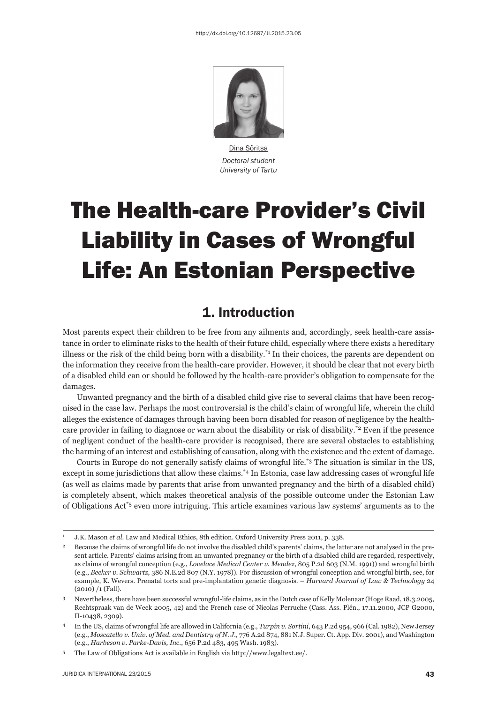

Dina Sõritsa *Doctoral student University of Tartu*

# The Health-care Provider's Civil Liability in Cases of Wrongful Life: An Estonian Perspective

### 1. Introduction

Most parents expect their children to be free from any ailments and, accordingly, seek health-care assistance in order to eliminate risks to the health of their future child, especially where there exists a hereditary illness or the risk of the child being born with a disability.<sup>\*1</sup> In their choices, the parents are dependent on the information they receive from the health-care provider. However, it should be clear that not every birth of a disabled child can or should be followed by the health-care provider's obligation to compensate for the damages.

Unwanted pregnancy and the birth of a disabled child give rise to several claims that have been recognised in the case law. Perhaps the most controversial is the child's claim of wrongful life, wherein the child alleges the existence of damages through having been born disabled for reason of negligence by the healthcare provider in failing to diagnose or warn about the disability or risk of disability.<sup>\*2</sup> Even if the presence of negligent conduct of the health-care provider is recognised, there are several obstacles to establishing the harming of an interest and establishing of causation, along with the existence and the extent of damage.

Courts in Europe do not generally satisfy claims of wrongful life.\*3 The situation is similar in the US, except in some jurisdictions that allow these claims.\*4 In Estonia, case law addressing cases of wrongful life (as well as claims made by parents that arise from unwanted pregnancy and the birth of a disabled child) is completely absent, which makes theoretical analysis of the possible outcome under the Estonian Law of Obligations Act\*5 even more intriguing. This article examines various law systems' arguments as to the

<sup>1</sup> J.K. Mason *et al.* Law and Medical Ethics, 8th edition. Oxford University Press 2011, p. 338.

<sup>2</sup> Because the claims of wrongful life do not involve the disabled child's parents' claims, the latter are not analysed in the present article. Parents' claims arising from an unwanted pregnancy or the birth of a disabled child are regarded, respectively, as claims of wrongful conception (e.g., *Lovelace Medical Center v. Mendez*, 805 P.2d 603 (N.M. 1991)) and wrongful birth (e.g., *Becker v. Schwartz*, 386 N.E.2d 807 (N.Y. 1978)). For discussion of wrongful conception and wrongful birth, see, for example, K. Wevers. Prenatal torts and pre-implantation genetic diagnosis. – *Harvard Journal of Law & Technology* 24 (2010) /1 (Fall).

<sup>3</sup> Nevertheless, there have been successful wrongful-life claims, as in the Dutch case of Kelly Molenaar (Hoge Raad, 18.3.2005, Rechtspraak van de Week 2005, 42) and the French case of Nicolas Perruche (Cass. Ass. Plén., 17.11.2000, JCP G2000, II-10438, 2309).

<sup>4</sup> In the US, claims of wrongful life are allowed in California (e.g., *Turpin v. Sortini*, 643 P.2d 954, 966 (Cal. 1982), New Jersey (e.g., *Moscatello v. Univ. of Med. and Dentistry of N. J.*, 776 A.2d 874, 881 N.J. Super. Ct. App. Div. 2001), and Washington (e.g., *Harbeson v. Parke-Davis, Inc.*, 656 P.2d 483, 495 Wash. 1983).

<sup>5</sup> The Law of Obligations Act is available in English via http://www.legaltext.ee/.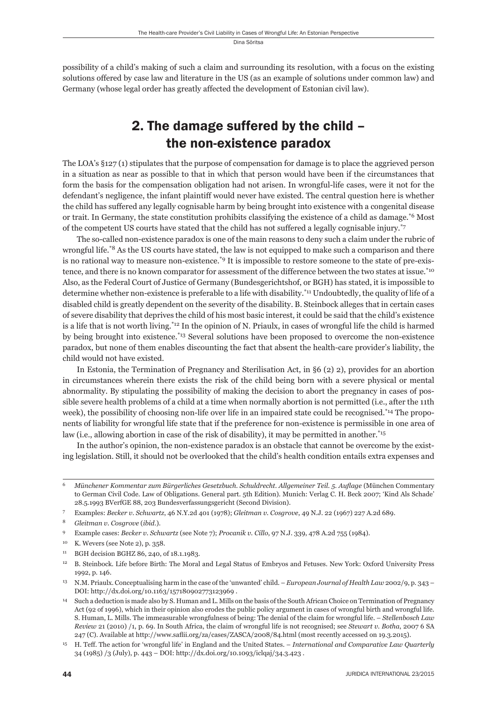possibility of a child's making of such a claim and surrounding its resolution, with a focus on the existing solutions offered by case law and literature in the US (as an example of solutions under common law) and Germany (whose legal order has greatly affected the development of Estonian civil law).

# 2. The damage suffered by the child – the non-existence paradox

The LOA's §127 (1) stipulates that the purpose of compensation for damage is to place the aggrieved person in a situation as near as possible to that in which that person would have been if the circumstances that form the basis for the compensation obligation had not arisen. In wrongful-life cases, were it not for the defendant's negligence, the infant plaintiff would never have existed. The central question here is whether the child has suffered any legally cognisable harm by being brought into existence with a congenital disease or trait. In Germany, the state constitution prohibits classifying the existence of a child as damage.\*6 Most of the competent US courts have stated that the child has not suffered a legally cognisable injury.\*7

The so-called non-existence paradox is one of the main reasons to deny such a claim under the rubric of wrongful life.<sup>\*8</sup> As the US courts have stated, the law is not equipped to make such a comparison and there is no rational way to measure non-existence.\*9 It is impossible to restore someone to the state of pre-existence, and there is no known comparator for assessment of the difference between the two states at issue.<sup>\*10</sup> Also, as the Federal Court of Justice of Germany (Bundesgerichtshof, or BGH) has stated, it is impossible to determine whether non-existence is preferable to a life with disability.\*11 Undoubtedly, the quality of life of a disabled child is greatly dependent on the severity of the disability. B. Steinbock alleges that in certain cases of severe disability that deprives the child of his most basic interest, it could be said that the child's existence is a life that is not worth living.\*12 In the opinion of N. Priaulx, in cases of wrongful life the child is harmed by being brought into existence.\*13 Several solutions have been proposed to overcome the non-existence paradox, but none of them enables discounting the fact that absent the health-care provider's liability, the child would not have existed.

In Estonia, the Termination of Pregnancy and Sterilisation Act, in §6 (2) 2), provides for an abortion in circumstances wherein there exists the risk of the child being born with a severe physical or mental abnormality. By stipulating the possibility of making the decision to abort the pregnancy in cases of possible severe health problems of a child at a time when normally abortion is not permitted (i.e., after the 11th week), the possibility of choosing non-life over life in an impaired state could be recognised.<sup>\*14</sup> The proponents of liability for wrongful life state that if the preference for non-existence is permissible in one area of law (i.e., allowing abortion in case of the risk of disability), it may be permitted in another.\*15

In the author's opinion, the non-existence paradox is an obstacle that cannot be overcome by the existing legislation. Still, it should not be overlooked that the child's health condition entails extra expenses and

*Münchener Kommentar zum Bürgerliches Gesetzbuch. Schuldrecht. Allgemeiner Teil. 5. Auflage* (München Commentary to German Civil Code. Law of Obligations. General part. 5th Edition). Munich: Verlag C. H. Beck 2007; 'Kind Als Schade' 28.5.1993 BVerfGE 88, 203 Bundesverfassungsgericht (Second Division).

<sup>7</sup> Examples: *Becker v. Schwartz*, 46 N.Y.2d 401 (1978); *Gleitman v. Cosgrove*, 49 N.J. 22 (1967) 227 A.2d 689.

<sup>8</sup> *Gleitman v. Cosgrove* (*ibid*.).

<sup>9</sup> Example cases: *Becker v. Schwartz* (see Note 7); *Procanik v. Cillo*, 97 N.J. 339, 478 A.2d 755 (1984).

<sup>10</sup> K. Wevers (see Note 2), p. 358.

<sup>11</sup> BGH decision BGHZ 86, 240, of 18.1.1983.

<sup>12</sup> B. Steinbock. Life before Birth: The Moral and Legal Status of Embryos and Fetuses. New York: Oxford University Press 1992, p. 146.

<sup>13</sup> N.M. Priaulx. Conceptualising harm in the case of the 'unwanted' child. – *European Journal of Health Law* 2002/9, p. 343 – DOI: http://dx.doi.org/10.1163/157180902773123969 .

<sup>14</sup> Such a deduction is made also by S. Human and L. Mills on the basis of the South African Choice on Termination of Pregnancy Act (92 of 1996), which in their opinion also erodes the public policy argument in cases of wrongful birth and wrongful life. S. Human, L. Mills. The immeasurable wrongfulness of being: The denial of the claim for wrongful life. – *Stellenbosch Law Review* 21 (2010) /1, p. 69. In South Africa, the claim of wrongful life is not recognised; see *Stewart v. Botha*, 2007 6 SA 247 (C). Available at http://www.saflii.org/za/cases/ZASCA/2008/84.html (most recently accessed on 19.3.2015).

<sup>15</sup> H. Teff. The action for 'wrongful life' in England and the United States. – *International and Comparative Law Quarterly* 34 (1985) /3 (July), p. 443 – DOI: http://dx.doi.org/10.1093/iclqaj/34.3.423 .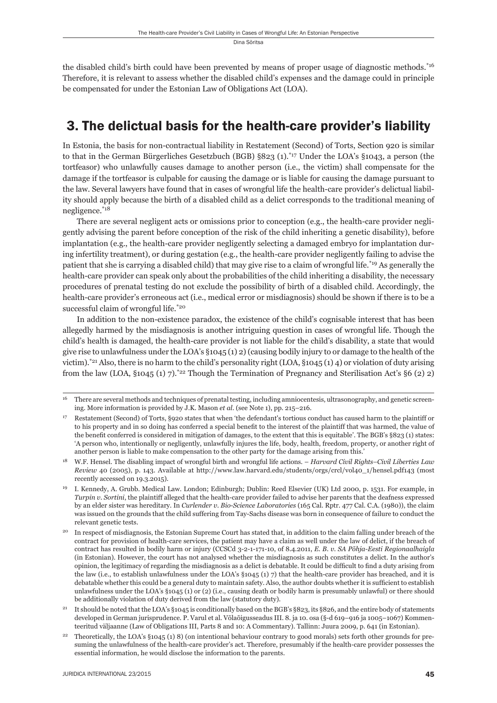the disabled child's birth could have been prevented by means of proper usage of diagnostic methods.<sup>\*16</sup> Therefore, it is relevant to assess whether the disabled child's expenses and the damage could in principle be compensated for under the Estonian Law of Obligations Act (LOA).

### 3. The delictual basis for the health-care provider's liability

In Estonia, the basis for non-contractual liability in Restatement (Second) of Torts, Section 920 is similar to that in the German Bürgerliches Gesetzbuch (BGB) §823 (1).<sup>\*17</sup> Under the LOA's §1043, a person (the tortfeasor) who unlawfully causes damage to another person (i.e., the victim) shall compensate for the damage if the tortfeasor is culpable for causing the damage or is liable for causing the damage pursuant to the law. Several lawyers have found that in cases of wrongful life the health-care provider's delictual liability should apply because the birth of a disabled child as a delict corresponds to the traditional meaning of negligence.\*18

There are several negligent acts or omissions prior to conception (e.g., the health-care provider negligently advising the parent before conception of the risk of the child inheriting a genetic disability), before implantation (e.g., the health-care provider negligently selecting a damaged embryo for implantation during infertility treatment), or during gestation (e.g., the health-care provider negligently failing to advise the patient that she is carrying a disabled child) that may give rise to a claim of wrongful life.\*19 As generally the health-care provider can speak only about the probabilities of the child inheriting a disability, the necessary procedures of prenatal testing do not exclude the possibility of birth of a disabled child. Accordingly, the health-care provider's erroneous act (i.e., medical error or misdiagnosis) should be shown if there is to be a successful claim of wrongful life.\*20

In addition to the non-existence paradox, the existence of the child's cognisable interest that has been allegedly harmed by the misdiagnosis is another intriguing question in cases of wrongful life. Though the child's health is damaged, the health-care provider is not liable for the child's disability, a state that would give rise to unlawfulness under the LOA's §1045 (1) 2) (causing bodily injury to or damage to the health of the victim).<sup>\*21</sup> Also, there is no harm to the child's personality right (LOA, §1045 (1) 4) or violation of duty arising from the law (LOA, §1045 (1) 7).<sup>\*22</sup> Though the Termination of Pregnancy and Sterilisation Act's §6 (2) 2)

<sup>&</sup>lt;sup>16</sup> There are several methods and techniques of prenatal testing, including amniocentesis, ultrasonography, and genetic screening. More information is provided by J.K. Mason *et al.* (see Note 1), pp. 215–216.

<sup>17</sup> Restatement (Second) of Torts, §920 states that when 'the defendant's tortious conduct has caused harm to the plaintiff or to his property and in so doing has conferred a special benefi t to the interest of the plaintiff that was harmed, the value of the benefit conferred is considered in mitigation of damages, to the extent that this is equitable'. The BGB's §823 (1) states: 'A person who, intentionally or negligently, unlawfully injures the life, body, health, freedom, property, or another right of another person is liable to make compensation to the other party for the damage arising from this.'

<sup>18</sup> W.F. Hensel. The disabling impact of wrongful birth and wrongful life actions. – *Harvard Civil Rights–Civil Liberties Law Review* 40 (2005), p. 143. Available at http://www.law.harvard.edu/students/orgs/crcl/vol40\_1/hensel.pdf143 (most recently accessed on 19.3.2015).

<sup>19</sup> I. Kennedy, A. Grubb. Medical Law. London; Edinburgh; Dublin: Reed Elsevier (UK) Ltd 2000, p. 1531. For example, in *Turpin v. Sortini*, the plaintiff alleged that the health-care provider failed to advise her parents that the deafness expressed by an elder sister was hereditary. In *Curlender v. Bio-Science Laboratories* (165 Cal. Rptr. 477 Cal. C.A. (1980)), the claim was issued on the grounds that the child suffering from Tay-Sachs disease was born in consequence of failure to conduct the relevant genetic tests.

<sup>&</sup>lt;sup>20</sup> In respect of misdiagnosis, the Estonian Supreme Court has stated that, in addition to the claim falling under breach of the contract for provision of health-care services, the patient may have a claim as well under the law of delict, if the breach of contract has resulted in bodily harm or injury (CCSCd 3-2-1-171-10, of 8.4.2011, *E. B. v. SA Põhja-Eesti Regionaalhaigla*  (in Estonian). However, the court has not analysed whether the misdiagnosis as such constitutes a delict. In the author's opinion, the legitimacy of regarding the misdiagnosis as a delict is debatable. It could be difficult to find a duty arising from the law (i.e., to establish unlawfulness under the LOA's §1045 (1) 7) that the health-care provider has breached, and it is debatable whether this could be a general duty to maintain safety. Also, the author doubts whether it is sufficient to establish unlawfulness under the LOA's §1045 (1) or (2) (i.e., causing death or bodily harm is presumably unlawful) or there should be additionally violation of duty derived from the law (statutory duty).

<sup>21</sup> It should be noted that the LOA's §1045 is conditionally based on the BGB's §823, its §826, and the entire body of statements developed in German jurisprudence. P. Varul et al. Võlaõigusseadus III. 8. ja 10. osa (§-d 619–916 ja 1005–1067) Kommenteeritud väljaanne (Law of Obligations III, Parts 8 and 10: A Commentary). Tallinn: Juura 2009, p. 641 (in Estonian).

<sup>22</sup> Theoretically, the LOA's §1045 (1) 8) (on intentional behaviour contrary to good morals) sets forth other grounds for presuming the unlawfulness of the health-care provider's act. Therefore, presumably if the health-care provider possesses the essential information, he would disclose the information to the parents.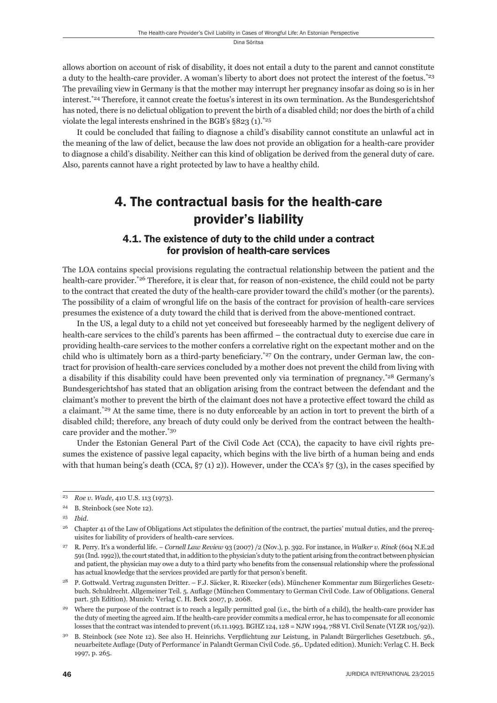allows abortion on account of risk of disability, it does not entail a duty to the parent and cannot constitute a duty to the health-care provider. A woman's liberty to abort does not protect the interest of the foetus.<sup>\*23</sup> The prevailing view in Germany is that the mother may interrupt her pregnancy insofar as doing so is in her interest.\*24 Therefore, it cannot create the foetus's interest in its own termination. As the Bundesgerichtshof has noted, there is no delictual obligation to prevent the birth of a disabled child; nor does the birth of a child violate the legal interests enshrined in the BGB's  $\S 823$  (1).<sup>\*25</sup>

It could be concluded that failing to diagnose a child's disability cannot constitute an unlawful act in the meaning of the law of delict, because the law does not provide an obligation for a health-care provider to diagnose a child's disability. Neither can this kind of obligation be derived from the general duty of care. Also, parents cannot have a right protected by law to have a healthy child.

# 4. The contractual basis for the health-care provider's liability

#### 4.1. The existence of duty to the child under a contract for provision of health-care services

The LOA contains special provisions regulating the contractual relationship between the patient and the health-care provider.\*26 Therefore, it is clear that, for reason of non-existence, the child could not be party to the contract that created the duty of the health-care provider toward the child's mother (or the parents). The possibility of a claim of wrongful life on the basis of the contract for provision of health-care services presumes the existence of a duty toward the child that is derived from the above-mentioned contract.

In the US, a legal duty to a child not yet conceived but foreseeably harmed by the negligent delivery of health-care services to the child's parents has been affirmed – the contractual duty to exercise due care in providing health-care services to the mother confers a correlative right on the expectant mother and on the child who is ultimately born as a third-party beneficiary.<sup>\*27</sup> On the contrary, under German law, the contract for provision of health-care services concluded by a mother does not prevent the child from living with a disability if this disability could have been prevented only via termination of pregnancy.\*28 Germany's Bundesgerichts hof has stated that an obligation arising from the contract between the defendant and the claimant's mother to prevent the birth of the claimant does not have a protective effect toward the child as a claimant.\*29 At the same time, there is no duty enforceable by an action in tort to prevent the birth of a disabled child; therefore, any breach of duty could only be derived from the contract between the healthcare provider and the mother.\*30

Under the Estonian General Part of the Civil Code Act (CCA), the capacity to have civil rights presumes the existence of passive legal capacity, which begins with the live birth of a human being and ends with that human being's death (CCA,  $\S7(1)$  2)). However, under the CCA's  $\S7(3)$ , in the cases specified by

<sup>23</sup> *Roe v. Wade*, 410 U.S. 113 (1973).

<sup>24</sup> B. Steinbock (see Note 12).

<sup>25</sup> *Ibid*.

<sup>&</sup>lt;sup>26</sup> Chapter 41 of the Law of Obligations Act stipulates the definition of the contract, the parties' mutual duties, and the prerequisites for liability of providers of health-care services.

<sup>27</sup> R. Perry. It's a wonderful life. – *Cornell Law Review* 93 (2007) /2 (Nov.), p. 392. For instance, in *Walker v. Rinck* (604 N.E.2d 591 (Ind. 1992)), the court stated that, in addition to the physician's duty to the patient arising from the contract between physician and patient, the physician may owe a duty to a third party who benefits from the consensual relationship where the professional has actual knowledge that the services provided are partly for that person's benefit.

<sup>28</sup> P. Gottwald. Vertrag zugunsten Dritter. – F.J. Säcker, R. Rixecker (eds). Münchener Kommentar zum Bürgerliches Gesetzbuch. Schuldrecht. Allgemeiner Teil. 5. Auflage (München Commentary to German Civil Code. Law of Obligations. General part. 5th Edition). Munich: Verlag C. H. Beck 2007, p. 2068.

<sup>29</sup> Where the purpose of the contract is to reach a legally permitted goal (i.e., the birth of a child), the health-care provider has the duty of meeting the agreed aim. If the health-care provider commits a medical error, he has to compensate for all economic losses that the contract was intended to prevent (16.11.1993. BGHZ 124, 128 = NJW 1994, 788 VI. Civil Senate (VI ZR 105/92)).

<sup>30</sup> B. Steinbock (see Note 12). See also H. Heinrichs. Verpflichtung zur Leistung, in Palandt Bürgerliches Gesetzbuch. 56., neuarbeitete Auflage (Duty of Performance' in Palandt German Civil Code. 56,. Updated edition). Munich: Verlag C. H. Beck 1997, p. 265.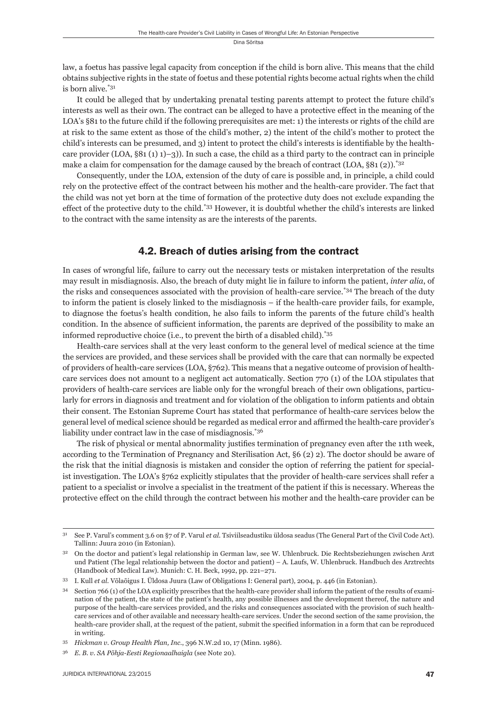law, a foetus has passive legal capacity from conception if the child is born alive. This means that the child obtains subjective rights in the state of foetus and these potential rights become actual rights when the child is born alive.\*31

It could be alleged that by undertaking prenatal testing parents attempt to protect the future child's interests as well as their own. The contract can be alleged to have a protective effect in the meaning of the LOA's §81 to the future child if the following prerequisites are met: 1) the interests or rights of the child are at risk to the same extent as those of the child's mother, 2) the intent of the child's mother to protect the child's interests can be presumed, and 3) intent to protect the child's interests is identifiable by the healthcare provider (LOA,  $\S 81 (1) 1)$ –3)). In such a case, the child as a third party to the contract can in principle make a claim for compensation for the damage caused by the breach of contract (LOA,  $\S 81$  (2)).<sup>\*32</sup>

Consequently, under the LOA, extension of the duty of care is possible and, in principle, a child could rely on the protective effect of the contract between his mother and the health-care provider. The fact that the child was not yet born at the time of formation of the protective duty does not exclude expanding the effect of the protective duty to the child.\*33 However, it is doubtful whether the child's interests are linked to the contract with the same intensity as are the interests of the parents.

#### 4.2. Breach of duties arising from the contract

In cases of wrongful life, failure to carry out the necessary tests or mistaken interpretation of the results may result in misdiagnosis. Also, the breach of duty might lie in failure to inform the patient, *inter alia*, of the risks and consequences associated with the provision of health-care service.<sup>\*34</sup> The breach of the duty to inform the patient is closely linked to the misdiagnosis – if the health-care provider fails, for example, to diagnose the foetus's health condition, he also fails to inform the parents of the future child's health condition. In the absence of sufficient information, the parents are deprived of the possibility to make an informed reproductive choice (i.e., to prevent the birth of a disabled child).\*35

Health-care services shall at the very least conform to the general level of medical science at the time the services are provided, and these services shall be provided with the care that can normally be expected of providers of health-care services (LOA, §762). This means that a negative outcome of provision of healthcare services does not amount to a negligent act automatically. Section 770 (1) of the LOA stipulates that providers of health-care services are liable only for the wrongful breach of their own obligations, particularly for errors in diagnosis and treatment and for violation of the obligation to inform patients and obtain their consent. The Estonian Supreme Court has stated that performance of health-care services below the general level of medical science should be regarded as medical error and affirmed the health-care provider's liability under contract law in the case of misdiagnosis.<sup>\*36</sup>

The risk of physical or mental abnormality justifies termination of pregnancy even after the 11th week, according to the Termination of Pregnancy and Sterilisation Act, §6 (2) 2). The doctor should be aware of the risk that the initial diagnosis is mistaken and consider the option of referring the patient for specialist investigation. The LOA's §762 explicitly stipulates that the provider of health-care services shall refer a patient to a specialist or involve a specialist in the treatment of the patient if this is necessary. Whereas the protective effect on the child through the contract between his mother and the health-care provider can be

<sup>31</sup> See P. Varul's comment 3.6 on §7 of P. Varul *et al.* Tsiviilseadustiku üldosa seadus (The General Part of the Civil Code Act). Tallinn: Juura 2010 (in Estonian).

<sup>32</sup> On the doctor and patient's legal relationship in German law, see W. Uhlenbruck. Die Rechtsbeziehungen zwischen Arzt und Patient (The legal relationship between the doctor and patient) – A. Laufs, W. Uhlenbruck. Handbuch des Arztrechts (Handbook of Medical Law). Munich: C. H. Beck, 1992, pp. 221–271.

<sup>33</sup> I. Kull *et al.* Võlaõigus I. Üldosa Juura (Law of Obligations I: General part), 2004, p. 446 (in Estonian).

Section 766 (1) of the LOA explicitly prescribes that the health-care provider shall inform the patient of the results of examination of the patient, the state of the patient's health, any possible illnesses and the development thereof, the nature and purpose of the health-care services provided, and the risks and consequences associated with the provision of such healthcare services and of other available and necessary health-care services. Under the second section of the same provision, the health-care provider shall, at the request of the patient, submit the specified information in a form that can be reproduced in writing.

<sup>35</sup> *Hickman v. Group Health Plan, Inc.*, 396 N.W.2d 10, 17 (Minn. 1986).

<sup>36</sup> *E. B. v. SA Põhja-Eesti Regionaalhaigla* (see Note 20).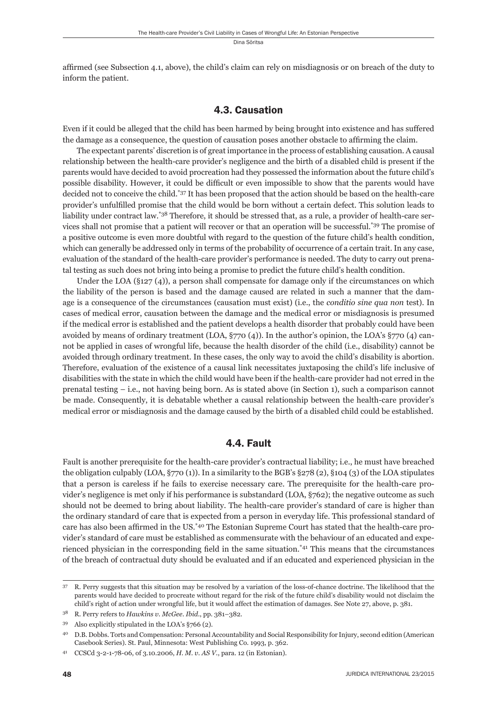affirmed (see Subsection 4.1, above), the child's claim can rely on misdiagnosis or on breach of the duty to inform the patient.

#### 4.3. Causation

Even if it could be alleged that the child has been harmed by being brought into existence and has suffered the damage as a consequence, the question of causation poses another obstacle to affirming the claim.

The expectant parents' discretion is of great importance in the process of establishing causation. A causal relationship between the health-care provider's negligence and the birth of a disabled child is present if the parents would have decided to avoid procreation had they possessed the information about the future child's possible disability. However, it could be difficult or even impossible to show that the parents would have decided not to conceive the child.\*37 It has been proposed that the action should be based on the health-care provider's unfulfilled promise that the child would be born without a certain defect. This solution leads to liability under contract law.\*38 Therefore, it should be stressed that, as a rule, a provider of health-care services shall not promise that a patient will recover or that an operation will be successful.\*39 The promise of a positive outcome is even more doubtful with regard to the question of the future child's health condition, which can generally be addressed only in terms of the probability of occurrence of a certain trait. In any case, evaluation of the standard of the health-care provider's performance is needed. The duty to carry out prenatal testing as such does not bring into being a promise to predict the future child's health condition.

Under the LOA  $(§127(4))$ , a person shall compensate for damage only if the circumstances on which the liability of the person is based and the damage caused are related in such a manner that the damage is a consequence of the circumstances (causation must exist) (i.e., the *conditio sine qua non* test). In cases of medical error, causation between the damage and the medical error or misdiagnosis is presumed if the medical error is established and the patient develops a health disorder that probably could have been avoided by means of ordinary treatment (LOA, §770 (4)). In the author's opinion, the LOA's §770 (4) cannot be applied in cases of wrongful life, because the health disorder of the child (i.e., disability) cannot be avoided through ordinary treatment. In these cases, the only way to avoid the child's disability is abortion. Therefore, evaluation of the existence of a causal link necessitates juxtaposing the child's life inclusive of disabilities with the state in which the child would have been if the health-care provider had not erred in the prenatal testing – i.e., not having being born. As is stated above (in Section 1), such a comparison cannot be made. Consequently, it is debatable whether a causal relationship between the health-care provider's medical error or misdiagnosis and the damage caused by the birth of a disabled child could be established.

#### 4.4. Fault

Fault is another prerequisite for the health-care provider's contractual liability; i.e., he must have breached the obligation culpably (LOA, §770 (1)). In a similarity to the BGB's §278 (2), §104 (3) of the LOA stipulates that a person is careless if he fails to exercise necessary care. The prerequisite for the health-care provider's negligence is met only if his performance is substandard (LOA, §762); the negative outcome as such should not be deemed to bring about liability. The health-care provider's standard of care is higher than the ordinary standard of care that is expected from a person in everyday life. This professional standard of care has also been affirmed in the US.<sup>\*40</sup> The Estonian Supreme Court has stated that the health-care provider's standard of care must be established as commensurate with the behaviour of an educated and experienced physician in the corresponding field in the same situation.<sup> $*41$ </sup> This means that the circumstances of the breach of contractual duty should be evaluated and if an educated and experienced physician in the

<sup>37</sup> R. Perry suggests that this situation may be resolved by a variation of the loss-of-chance doctrine. The likelihood that the parents would have decided to procreate without regard for the risk of the future child's disability would not disclaim the child's right of action under wrongful life, but it would affect the estimation of damages. See Note 27, above, p. 381.

<sup>38</sup> R. Perry refers to *Hawkins v. McGee*. *Ibid*., pp. 381–382.

<sup>39</sup> Also explicitly stipulated in the LOA's §766 (2).

<sup>40</sup> D.B. Dobbs. Torts and Compensation: Personal Accountability and Social Responsibility for Injury, second edition (American Casebook Series). St. Paul, Minnesota: West Publishing Co. 1993, p. 362.

<sup>41</sup> CCSCd 3-2-1-78-06, of 3.10.2006, *H. M. v. AS V.*, para. 12 (in Estonian).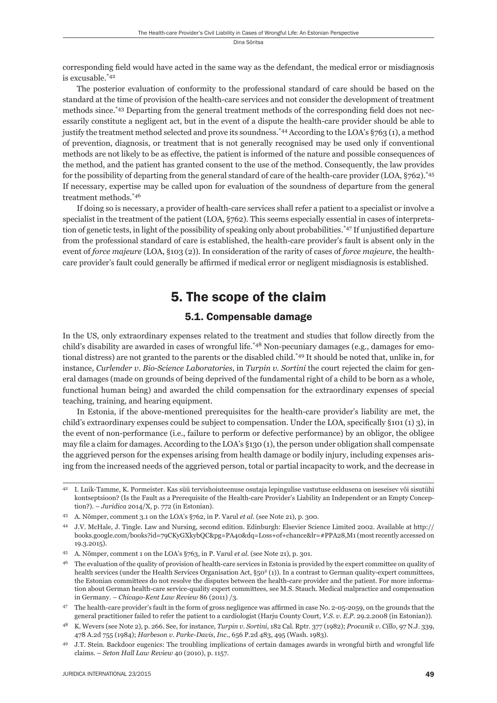corresponding field would have acted in the same way as the defendant, the medical error or misdiagnosis is excusable.\*42

The posterior evaluation of conformity to the professional standard of care should be based on the standard at the time of provision of the health-care services and not consider the development of treatment methods since.<sup>\*43</sup> Departing from the general treatment methods of the corresponding field does not necessarily constitute a negligent act, but in the event of a dispute the health-care provider should be able to justify the treatment method selected and prove its soundness.\*44 According to the LOA's §763 (1), a method of prevention, diagnosis, or treatment that is not generally recognised may be used only if conventional methods are not likely to be as effective, the patient is informed of the nature and possible consequences of the method, and the patient has granted consent to the use of the method. Consequently, the law provides for the possibility of departing from the general standard of care of the health-care provider (LOA, §762).\*45 If necessary, expertise may be called upon for evaluation of the soundness of departure from the general treatment methods.\*46

If doing so is necessary, a provider of health-care services shall refer a patient to a specialist or involve a specialist in the treatment of the patient (LOA, §762). This seems especially essential in cases of interpretation of genetic tests, in light of the possibility of speaking only about probabilities.<sup>\*47</sup> If unjustified departure from the professional standard of care is established, the health-care provider's fault is absent only in the event of *force majeure* (LOA, §103 (2)). In consideration of the rarity of cases of *force majeure*, the healthcare provider's fault could generally be affirmed if medical error or negligent misdiagnosis is established.

## 5. The scope of the claim

#### 5.1. Compensable damage

In the US, only extraordinary expenses related to the treatment and studies that follow directly from the child's disability are awarded in cases of wrongful life.<sup>\*48</sup> Non-pecuniary damages (e.g., damages for emotional distress) are not granted to the parents or the disabled child.<sup>\*49</sup> It should be noted that, unlike in, for instance, *Curlender v. Bio-Science Laboratories*, in *Turpin v. Sortini* the court rejected the claim for general damages (made on grounds of being deprived of the fundamental right of a child to be born as a whole, functional human being) and awarded the child compensation for the extraordinary expenses of special teaching, training, and hearing equipment.

In Estonia, if the above-mentioned prerequisites for the health-care provider's liability are met, the child's extraordinary expenses could be subject to compensation. Under the LOA, specifically §101 (1) 3), in the event of non-performance (i.e., failure to perform or defective performance) by an obligor, the obligee may file a claim for damages. According to the LOA's §130 (1), the person under obligation shall compensate the aggrieved person for the expenses arising from health damage or bodily injury, including expenses arising from the increased needs of the aggrieved person, total or partial incapacity to work, and the decrease in

<sup>42</sup> I. Luik-Tamme, K. Pormeister. Kas süü tervishoiuteenuse osutaja lepingulise vastutuse eeldusena on iseseisev või sisutühi kontseptsioon? (Is the Fault as a Prerequisite of the Health-care Provider's Liability an Independent or an Empty Conception?). – *Juridica* 2014/X, p. 772 (in Estonian).

<sup>43</sup> A. Nõmper, comment 3.1 on the LOA's §762, in P. Varul *et al.* (see Note 21), p. 300.

<sup>44</sup> J.V. McHale, J. Tingle. Law and Nursing, second edition. Edinburgh: Elsevier Science Limited 2002. Available at http:// books.google.com/books?id=79CKyGXkybQC&pg=PA40&dq=Loss+of+chance&lr=#PPA28,M1 (most recently accessed on 19.3.2015).

<sup>45</sup> A. Nõmper, comment 1 on the LOA's §763, in P. Varul *et al.* (see Note 21), p. 301.

<sup>&</sup>lt;sup>46</sup> The evaluation of the quality of provision of health-care services in Estonia is provided by the expert committee on quality of health services (under the Health Services Organisation Act, §50<sup>2</sup> (1)). In a contrast to German quality-expert committees, the Estonian committees do not resolve the disputes between the health-care provider and the patient. For more information about German health-care service-quality expert committees, see M.S. Stauch. Medical malpractice and compensation in Germany. – *Chicago-Kent Law Review* 86 (2011) /3.

<sup>&</sup>lt;sup>47</sup> The health-care provider's fault in the form of gross negligence was affirmed in case No. 2-05-2059, on the grounds that the general practitioner failed to refer the patient to a cardiologist (Harju County Court, *V.S. v. E.P*. 29.2.2008 (in Estonian)).

<sup>48</sup> K. Wevers (see Note 2), p. 266. See, for instance, *Turpin v. Sortini*, 182 Cal. Rptr. 377 (1982); *Procanik v. Cillo*, 97 N.J. 339, 478 A.2d 755 (1984); *Harbeson v. Parke-Davis, Inc.*, 656 P.2d 483, 495 (Wash. 1983).

<sup>49</sup> J.T. Stein. Backdoor eugenics: The troubling implications of certain damages awards in wrongful birth and wrongful life claims. – *Seton Hall Law Review* 40 (2010), p. 1157.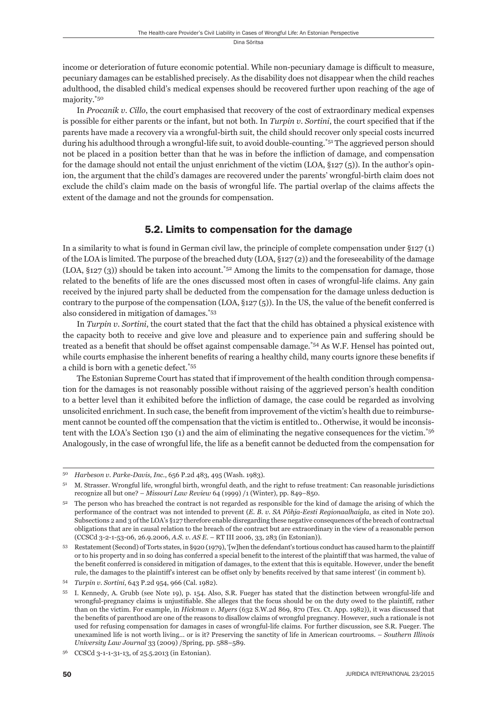income or deterioration of future economic potential. While non-pecuniary damage is difficult to measure, pecuniary damages can be established precisely. As the disability does not disappear when the child reaches adulthood, the disabled child's medical expenses should be recovered further upon reaching of the age of majority.\*50

In *Procanik v. Cillo*, the court emphasised that recovery of the cost of extraordinary medical expenses is possible for either parents or the infant, but not both. In *Turpin v. Sortini*, the court specified that if the parents have made a recovery via a wrongful-birth suit, the child should recover only special costs incurred during his adulthood through a wrongful-life suit, to avoid double-counting.\*51 The aggrieved person should not be placed in a position better than that he was in before the infliction of damage, and compensation for the damage should not entail the unjust enrichment of the victim (LOA, §127 (5)). In the author's opinion, the argument that the child's damages are recovered under the parents' wrongful-birth claim does not exclude the child's claim made on the basis of wrongful life. The partial overlap of the claims affects the extent of the damage and not the grounds for compensation.

#### 5.2. Limits to compensation for the damage

In a similarity to what is found in German civil law, the principle of complete compensation under §127 (1) of the LOA is limited. The purpose of the breached duty (LOA, §127 (2)) and the foreseeability of the damage  $(LOA, §127 (3))$  should be taken into account.<sup>\*52</sup> Among the limits to the compensation for damage, those related to the benefits of life are the ones discussed most often in cases of wrongful-life claims. Any gain received by the injured party shall be deducted from the compensation for the damage unless deduction is contrary to the purpose of the compensation (LOA,  $\S$ 127(5)). In the US, the value of the benefit conferred is also considered in mitigation of damages.\*53

In *Turpin v. Sortini*, the court stated that the fact that the child has obtained a physical existence with the capacity both to receive and give love and pleasure and to experience pain and suffering should be treated as a benefit that should be offset against compensable damage.\*54 As W.F. Hensel has pointed out, while courts emphasise the inherent benefits of rearing a healthy child, many courts ignore these benefits if a child is born with a genetic defect.\*55

The Estonian Supreme Court has stated that if improvement of the health condition through compensation for the damages is not reasonably possible without raising of the aggrieved person's health condition to a better level than it exhibited before the infliction of damage, the case could be regarded as involving unsolicited enrichment. In such case, the benefi t from improvement of the victim's health due to reimbursement cannot be counted off the compensation that the victim is entitled to.. Otherwise, it would be inconsistent with the LOA's Section 130 (1) and the aim of eliminating the negative consequences for the victim.\*56 Analogously, in the case of wrongful life, the life as a benefit cannot be deducted from the compensation for

<sup>50</sup> *Harbeson v. Parke-Davis, Inc.*, 656 P.2d 483, 495 (Wash. 1983).

<sup>51</sup> M. Strasser. Wrongful life, wrongful birth, wrongful death, and the right to refuse treatment: Can reasonable jurisdictions recognize all but one? – *Missouri Law Review* 64 (1999) /1 (Winter), pp. 849–850.

 $52$  The person who has breached the contract is not regarded as responsible for the kind of damage the arising of which the performance of the contract was not intended to prevent (*E. B. v. SA Põhja-Eesti Regionaalhaigla*, as cited in Note 20). Subsections 2 and 3 of the LOA's §127 therefore enable disregarding these negative consequences of the breach of contractual obligations that are in causal relation to the breach of the contract but are extraordinary in the view of a reasonable person (CCSCd 3-2-1-53-06, 26.9.2006, *A.S. v. AS E.* – RT III 2006, 33, 283 (in Estonian)).

<sup>53</sup> Restatement (Second) of Torts states, in §920 (1979), '[w]hen the defendant's tortious conduct has caused harm to the plaintiff or to his property and in so doing has conferred a special benefi t to the interest of the plaintiff that was harmed, the value of the benefit conferred is considered in mitigation of damages, to the extent that this is equitable. However, under the benefit rule, the damages to the plaintiff's interest can be offset only by benefits received by that same interest' (in comment b).

<sup>54</sup> *Turpin v. Sortini*, 643 P.2d 954, 966 (Cal. 1982).

<sup>55</sup> I. Kennedy, A. Grubb (see Note 19), p. 154. Also, S.R. Fueger has stated that the distinction between wrongful-life and wrongful-pregnancy claims is unjustifiable. She alleges that the focus should be on the duty owed to the plaintiff, rather than on the victim. For example, in *Hickman v. Myers* (632 S.W.2d 869, 870 (Tex. Ct. App. 1982)), it was discussed that the benefits of parenthood are one of the reasons to disallow claims of wrongful pregnancy. However, such a rationale is not used for refusing compensation for damages in cases of wrongful-life claims. For further discussion, see S.R. Fueger. The unexamined life is not worth living... or is it? Preserving the sanctity of life in American courtrooms. – *Southern Illinois University Law Journal* 33 (2009) /Spring, pp. 588–589.

<sup>56</sup> CCSCd 3-1-1-31-13, of 25.5.2013 (in Estonian).